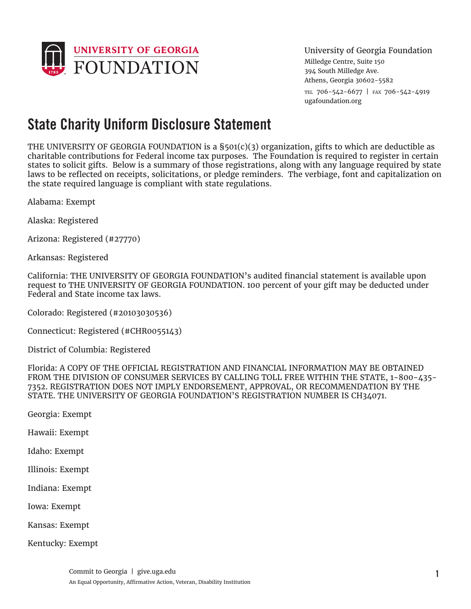

University of Georgia Foundation

Milledge Centre, Suite 150 394 South Milledge Ave. Athens, Georgia 30602-5582 tel 706-542-6677 | fax 706-542-4919 ugafoundation.org

## **State Charity Uniform Disclosure Statement**

THE UNIVERSITY OF GEORGIA FOUNDATION is a §501(c)(3) organization, gifts to which are deductible as charitable contributions for Federal income tax purposes. The Foundation is required to register in certain states to solicit gifts. Below is a summary of those registrations, along with any language required by state laws to be reflected on receipts, solicitations, or pledge reminders. The verbiage, font and capitalization on the state required language is compliant with state regulations.

Alabama: Exempt

Alaska: Registered

Arizona: Registered (#27770)

Arkansas: Registered

California: THE UNIVERSITY OF GEORGIA FOUNDATION's audited financial statement is available upon request to THE UNIVERSITY OF GEORGIA FOUNDATION. 100 percent of your gift may be deducted under Federal and State income tax laws.

Colorado: Registered (#20103030536)

Connecticut: Registered (#CHR0055143)

District of Columbia: Registered

Florida: A COPY OF THE OFFICIAL REGISTRATION AND FINANCIAL INFORMATION MAY BE OBTAINED FROM THE DIVISION OF CONSUMER SERVICES BY CALLING TOLL FREE WITHIN THE STATE, 1-800-435- 7352. REGISTRATION DOES NOT IMPLY ENDORSEMENT, APPROVAL, OR RECOMMENDATION BY THE STATE. THE UNIVERSITY OF GEORGIA FOUNDATION'S REGISTRATION NUMBER IS CH34071.

Georgia: Exempt

Hawaii: Exempt

Idaho: Exempt

Illinois: Exempt

Indiana: Exempt

Iowa: Exempt

Kansas: Exempt

Kentucky: Exempt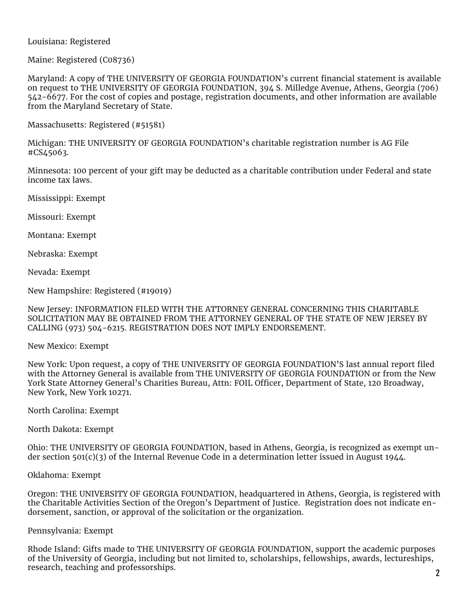## Louisiana: Registered

Maine: Registered (C08736)

Maryland: A copy of THE UNIVERSITY OF GEORGIA FOUNDATION's current financial statement is available on request to THE UNIVERSITY OF GEORGIA FOUNDATION, 394 S. Milledge Avenue, Athens, Georgia (706) 542-6677. For the cost of copies and postage, registration documents, and other information are available from the Maryland Secretary of State.

Massachusetts: Registered (#51581)

Michigan: THE UNIVERSITY OF GEORGIA FOUNDATION's charitable registration number is AG File #CS45063.

Minnesota: 100 percent of your gift may be deducted as a charitable contribution under Federal and state income tax laws.

Mississippi: Exempt

Missouri: Exempt

Montana: Exempt

Nebraska: Exempt

Nevada: Exempt

New Hampshire: Registered (#19019)

New Jersey: INFORMATION FILED WITH THE ATTORNEY GENERAL CONCERNING THIS CHARITABLE SOLICITATION MAY BE OBTAINED FROM THE ATTORNEY GENERAL OF THE STATE OF NEW JERSEY BY CALLING (973) 504-6215. REGISTRATION DOES NOT IMPLY ENDORSEMENT.

New Mexico: Exempt

New York: Upon request, a copy of THE UNIVERSITY OF GEORGIA FOUNDATION'S last annual report filed with the Attorney General is available from THE UNIVERSITY OF GEORGIA FOUNDATION or from the New York State Attorney General's Charities Bureau, Attn: FOIL Officer, Department of State, 120 Broadway, New York, New York 10271.

North Carolina: Exempt

North Dakota: Exempt

Ohio: THE UNIVERSITY OF GEORGIA FOUNDATION, based in Athens, Georgia, is recognized as exempt under section 501(c)(3) of the Internal Revenue Code in a determination letter issued in August 1944.

## Oklahoma: Exempt

Oregon: THE UNIVERSITY OF GEORGIA FOUNDATION, headquartered in Athens, Georgia, is registered with the Charitable Activities Section of the Oregon's Department of Justice. Registration does not indicate endorsement, sanction, or approval of the solicitation or the organization.

## Pennsylvania: Exempt

Rhode Island: Gifts made to THE UNIVERSITY OF GEORGIA FOUNDATION, support the academic purposes of the University of Georgia, including but not limited to, scholarships, fellowships, awards, lectureships, research, teaching and professorships. **<sup>2</sup>**